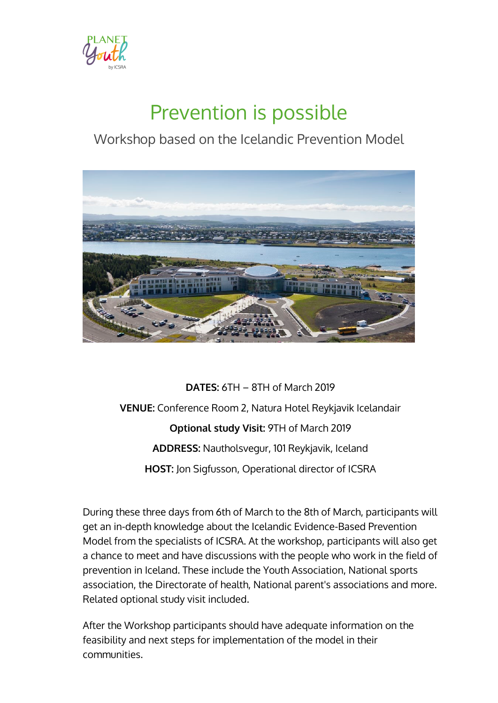

# Prevention is possible

## Workshop based on the Icelandic Prevention Model



**DATES:** 6TH – 8TH of March 2019 **VENUE:** Conference Room 2, Natura Hotel Reykjavik Icelandair **Optional study Visit:** 9TH of March 2019 **ADDRESS:** Nautholsvegur, 101 Reykjavik, Iceland **HOST:** Jon Sigfusson, Operational director of ICSRA

During these three days from 6th of March to the 8th of March, participants will get an in-depth knowledge about the Icelandic Evidence-Based Prevention Model from the specialists of ICSRA. At the workshop, participants will also get a chance to meet and have discussions with the people who work in the field of prevention in Iceland. These include the Youth Association, National sports association, the Directorate of health, National parent's associations and more. Related optional study visit included.

After the Workshop participants should have adequate information on the feasibility and next steps for implementation of the model in their communities.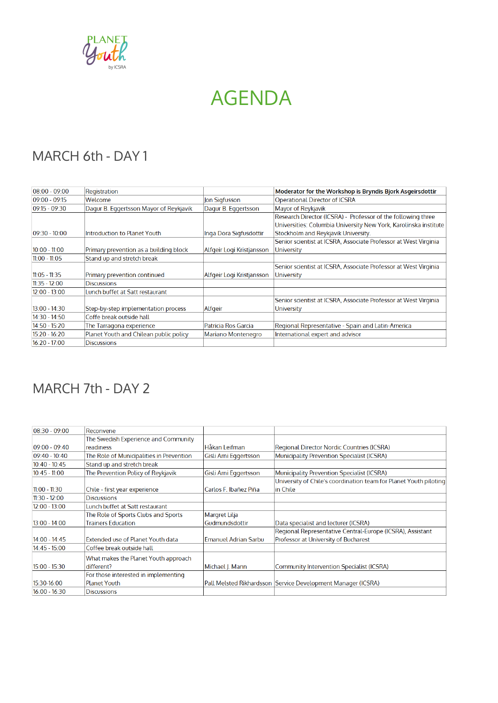

## AGENDA

## MARCH 6th - DAY 1

| $08:00 - 09:00$ | Registration                           |                           | Moderator for the Workshop is Bryndis Bjork Asgeirsdottir        |
|-----------------|----------------------------------------|---------------------------|------------------------------------------------------------------|
| $09:00 - 09:15$ | Welcome                                | Jon Sigfusson             | <b>Operational Director of ICSRA</b>                             |
| $09:15 - 09:30$ | Dagur B. Eggertsson Mayor of Reykjavik | Dagur B. Eggertsson       | Mayor of Reykjavik                                               |
|                 |                                        |                           | Research Director (ICSRA) - Professor of the following three     |
|                 |                                        |                           | Universities: Columbia University New York, Karolinska institute |
| $09:30 - 10:00$ | Introduction to Planet Youth           | Inga Dora Sigfusdottir    | Stockholm and Reykjavik University.                              |
|                 |                                        |                           | Senior scientist at ICSRA, Associate Professor at West Virginia  |
| $10:00 - 11:00$ | Primary prevention as a building block | Alfgeir Logi Kristjansson | <b>University</b>                                                |
| $11:00 - 11:05$ | Stand up and stretch break             |                           |                                                                  |
|                 |                                        |                           | Senior scientist at ICSRA, Associate Professor at West Virginia  |
| $11:05 - 11:35$ | Primary prevention continued           | Alfgeir Logi Kristjansson | <b>University</b>                                                |
| $11:35 - 12:00$ | <b>Discussions</b>                     |                           |                                                                  |
| $12:00 - 13:00$ | Lunch buffet at Satt restaurant        |                           |                                                                  |
|                 |                                        |                           | Senior scientist at ICSRA, Associate Professor at West Virginia  |
| $13:00 - 14:30$ | Step-by-step implementation process    | Alfgeir                   | <b>University</b>                                                |
| $14:30 - 14:50$ | Coffe break outside hall               |                           |                                                                  |
| $14:50 - 15:20$ | The Tarragona experience               | Patricia Ros Garcia       | Regional Representative - Spain and Latin-America                |
| $15:20 - 16:20$ | Planet Youth and Chilean public policy | <b>Mariano Montenegro</b> | International expert and advisor                                 |
| $16:20 - 17:00$ | <b>Discussions</b>                     |                           |                                                                  |

## MARCH 7th - DAY 2

| $08:30 - 09:00$ | <b>Reconvene</b>                         |                             |                                                                   |
|-----------------|------------------------------------------|-----------------------------|-------------------------------------------------------------------|
|                 | The Swedish Experience and Community     |                             |                                                                   |
| $09:00 - 09:40$ | readiness                                | Håkan Leifman               | Regional Director Nordic Countries (ICSRA)                        |
| $09:40 - 10:40$ | The Role of Municipalities in Prevention | Gisli Arni Eggertsson       | <b>Municipality Prevention Specialist (ICSRA)</b>                 |
| $10:40 - 10:45$ | Stand up and stretch break               |                             |                                                                   |
| $10:45 - 11:00$ | The Prevention Policy of Reykjavik       | Gisli Arni Eggertsson       | Municipality Prevention Specialist (ICSRA)                        |
|                 |                                          |                             | University of Chile's coordination team for Planet Youth piloting |
| $11:00 - 11:30$ | Chile - first year experience            | Carlos F. Ibañez Piña       | lin Chile                                                         |
| $11:30 - 12:00$ | <b>Discussions</b>                       |                             |                                                                   |
| $12:00 - 13:00$ | Lunch buffet at Satt restaurant          |                             |                                                                   |
|                 | The Role of Sports Clubs and Sports      | Margret Lilja               |                                                                   |
| $13:00 - 14:00$ | <b>Trainers Education</b>                | Gudmundsdottir              | Data specialist and lecturer (ICSRA)                              |
|                 |                                          |                             | Regional Representative Central-Europe (ICSRA), Assistant         |
| $14:00 - 14:45$ | Extended use of Planet Youth data        | <b>Emanuel Adrian Sarbu</b> | Professor at University of Bucharest                              |
| $14:45 - 15:00$ | Coffee break outside hall                |                             |                                                                   |
|                 | What makes the Planet Youth approach     |                             |                                                                   |
| $15:00 - 15:30$ | different?                               | Michael I. Mann             | Community Intervention Specialist (ICSRA)                         |
|                 | For those interested in implementing     |                             |                                                                   |
| 15:30-16:00     | <b>Planet Youth</b>                      |                             | Pall Melsted Rikhardsson Service Development Manager (ICSRA)      |
| $16:00 - 16:30$ | <b>Discussions</b>                       |                             |                                                                   |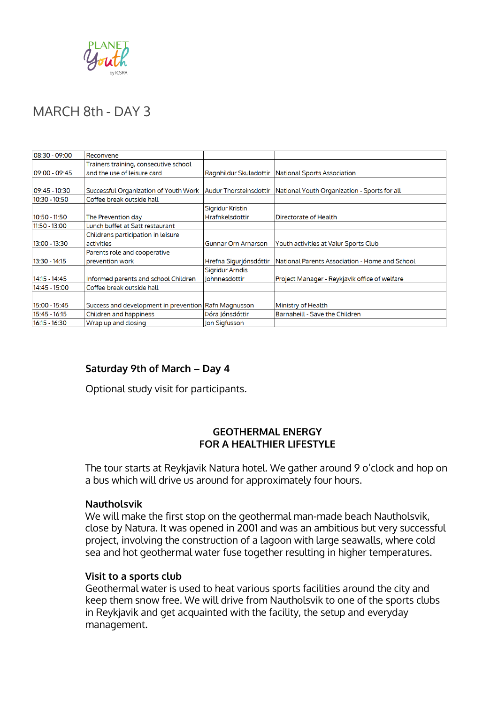

### MARCH 8th - DAY 3

| 08:30 09:00     | Reconvene                                            |                               |                                                |
|-----------------|------------------------------------------------------|-------------------------------|------------------------------------------------|
|                 | Trainers training, consecutive school                |                               |                                                |
| $09:00 - 09:45$ | and the use of leisure card                          | Ragnhildur Skuladottir        | National Sports Association                    |
|                 |                                                      |                               |                                                |
| 09:45 - 10:30   | Successful Organization of Youth Work                | <b>Audur Thorsteinsdottir</b> | National Youth Organization - Sports for all   |
| 10:30 - 10:50   | Coffee break outside hall                            |                               |                                                |
|                 |                                                      | Sigridur Kristin              |                                                |
| 10:50 - 11:50   | The Prevention day                                   | <b>Hrafnkelsdottir</b>        | Directorate of Health                          |
| 11:50 - 13:00   | Lunch buffet at Satt restaurant                      |                               |                                                |
|                 | Childrens participation in leisure                   |                               |                                                |
| 13:00 - 13:30   | activities                                           | Gunnar Orn Arnarson           | Youth activities at Valur Sports Club          |
|                 | Parents role and cooperative                         |                               |                                                |
| 13:30 - 14:15   | prevention work                                      | Hrefna Sigurjónsdóttir        | National Parents Association - Home and School |
|                 |                                                      | <b>Sigridur Arndis</b>        |                                                |
| 14:15 - 14:45   | Informed parents and school Children                 | <b>Johnnesdottir</b>          | Project Manager - Reykjavik office of welfare  |
| 14:45 - 15:00   | Coffee break outside hall                            |                               |                                                |
|                 |                                                      |                               |                                                |
| 15:00 - 15:45   | Success and development in prevention Rafn Magnusson |                               | Ministry of Health                             |
| 15:45 - 16:15   | Children and happiness                               | Þóra Jónsdóttir               | Barnaheill - Save the Children                 |
| $16:15 - 16:30$ | Wrap up and closing                                  | Jon Sigfusson                 |                                                |

### **Saturday 9th of March – Day 4**

Optional study visit for participants.

#### **GEOTHERMAL ENERGY FOR A HEALTHIER LIFESTYLE**

The tour starts at Reykjavik Natura hotel. We gather around 9 o'clock and hop on a bus which will drive us around for approximately four hours.

#### **Nautholsvik**

We will make the first stop on the geothermal man-made beach Nautholsvik, close by Natura. It was opened in 2001 and was an ambitious but very successful project, involving the construction of a lagoon with large seawalls, where cold sea and hot geothermal water fuse together resulting in higher temperatures.

#### **Visit to a sports club**

Geothermal water is used to heat various sports facilities around the city and keep them snow free. We will drive from Nautholsvik to one of the sports clubs in Reykjavik and get acquainted with the facility, the setup and everyday management.